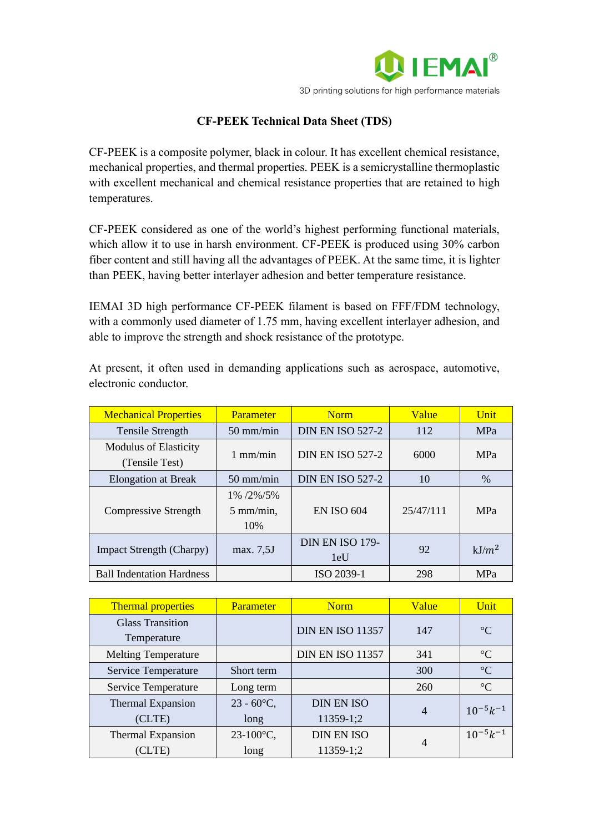

## **CF-PEEK Technical Data Sheet (TDS)**

CF-PEEK is a composite polymer, black in colour. It has excellent chemical resistance, mechanical properties, and thermal properties. PEEK is a semicrystalline thermoplastic with excellent mechanical and chemical resistance properties that are retained to high temperatures.

CF-PEEK considered as one of the world's highest performing functional materials, which allow it to use in harsh environment. CF-PEEK is produced using 30% carbon fiber content and still having all the advantages of PEEK. At the same time, it is lighter than PEEK, having better interlayer adhesion and better temperature resistance.

IEMAI 3D high performance CF-PEEK filament is based on FFF/FDM technology, with a commonly used diameter of 1.75 mm, having excellent interlayer adhesion, and able to improve the strength and shock resistance of the prototype.

At present, it often used in demanding applications such as aerospace, automotive, electronic conductor.

| <b>Mechanical Properties</b>                   | <b>Parameter</b>                              | <b>Norm</b>             | <b>Value</b> | Unit       |
|------------------------------------------------|-----------------------------------------------|-------------------------|--------------|------------|
| <b>Tensile Strength</b>                        | $50 \text{ mm/min}$                           | <b>DIN EN ISO 527-2</b> | 112          | MPa        |
| <b>Modulus of Elasticity</b><br>(Tensile Test) | $1 \text{ mm/min}$                            | <b>DIN EN ISO 527-2</b> | 6000         | MPa        |
| <b>Elongation at Break</b>                     | $50 \text{ mm/min}$                           | <b>DIN EN ISO 527-2</b> | 10           | $\%$       |
| <b>Compressive Strength</b>                    | $1\%$ /2\%/5\%<br>$5 \text{ mm/min}$ ,<br>10% | <b>EN ISO 604</b>       | 25/47/111    | <b>MPa</b> |
| <b>Impact Strength (Charpy)</b>                | max. 7,5J                                     | DIN EN ISO 179-<br>1eU  | 92           | $kJ/m^2$   |
| <b>Ball Indentation Hardness</b>               |                                               | ISO 2039-1              | 298          | <b>MPa</b> |

| <b>Thermal properties</b>  | <b>Parameter</b>     | <b>Norm</b>             | Value          | Unit            |
|----------------------------|----------------------|-------------------------|----------------|-----------------|
| <b>Glass Transition</b>    |                      | <b>DIN EN ISO 11357</b> | 147            | $\rm ^{\circ}C$ |
| Temperature                |                      |                         |                |                 |
| <b>Melting Temperature</b> |                      | <b>DIN EN ISO 11357</b> | 341            | $\rm ^{\circ}C$ |
| Service Temperature        | Short term           |                         | 300            | $\rm ^{\circ}C$ |
| Service Temperature        | Long term            |                         | 260            | $\rm ^{\circ}C$ |
| Thermal Expansion          | $23 - 60^{\circ}C$ , | <b>DIN EN ISO</b>       | $\overline{4}$ | $10^{-5}k^{-1}$ |
| (CLTE)                     | long                 | 11359-1;2               |                |                 |
| Thermal Expansion          | $23 - 100$ °C,       | <b>DIN EN ISO</b>       | 4              | $10^{-5}k^{-1}$ |
| (CLTE)                     | long                 | 11359-1;2               |                |                 |